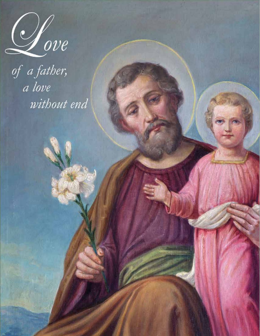

of a father, a love without end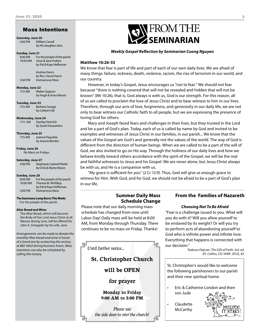# Mass Intentions

**Saturday, June 20**

4:00 PM William Carroll by His daughter Jane

#### **Sunday, June 21**

8:00 AM For the people of the parish 10:00 AM Jesse & Jane Fodero by Pat & Kaye Heffernan

 Andrea Harris by Rev. David Harris 3:00 PM Vietnamese Mass

**Monday, June 22** 7:15 AM Walter Gagnon

by Hugh & Anne Moran

**Tuesday, June 23** 7:15 AM Barbara Savage by Colleen Fall

**Wednesday, June 24** 7:15 AM Stanley Heinrich by Sarah Desaulniers

**Thursday, June 25** 7:15 AM Jeanne Paquette by Jeanne Berube

**Friday, June 26** No Mass on Fridays

#### **Saturday, June 27**

4:00 PM Stephanie Cadwell Walsh by Chris & Marta Nissen

#### **Sunday, June 28**

| 8:00 AM  | For the people of the parish |
|----------|------------------------------|
| 10:00 AM | Therese M. McKillop          |
|          | by Pat & Kaye Heffernan      |
| 3:00 PM  | <b>Vietnamese Mass</b>       |
|          |                              |

**The Sanctuary Lamp Burns This Week:** For the people of the parish.

#### **Altar Bread and Wine:**

The Altar Bread, which will become the Body of Our Lord Jesus Christ at all Masses during June, will be offered for John A. Schappler by his wife, Jane.

*Arrangements can be made to donate the monthly Altar bread and wine in honor of a loved one by contacting the rectory at 882-0632 during business hours. Mass intentions can also be scheduled by calling the rectory.* 



#### *Weekly Gospel Reflection by Seminarian Cuong Nguyen*

#### **Matthew 10:26-33**

We know that fear is part of life and part of each of our own daily lives. We are afraid of many things: failure, sickness, death, violence, racism, the rise of terrorism in our world, and our country.

However, in today's Gospel, Jesus encourages us "not to fear." We should not fear because "there is nothing covered that will not be revealed and hidden that will not be known" (Mt 10:26), that is, God always is with us, God is our strength. For this reason, all of us are called to proclaim the love of Jesus Christ and to bear witness to him in our lives. Therefore, through our acts of love, forgiveness, and generosity in our daily life, we are not only to bear witness our Catholic faith to all people, but we are expressing the presence of loving God for others.

Mary and Joseph faced fears and challenges in their lives, but they trusted in the Lord and be a part of God's plan. Today, each of us is called by name by God and invited to be examples and witnesses of Jesus Christ in our families, in our parish... We know that the values of the Gospel are God's and generally not the values of the world. The way of God is different from the direction of human beings. When we are called to be a part of the will of God, we also invited to go on His way. Through the holiness of our daily lives and how we behave kindly toward others accordance with the spirit of the Gospel, we will be the real and faithful witnesses to Jesus and his Gospel. We are never alone, but Jesus Christ always be with us, and He is a companion with us.

"My grace is sufficient for you" (2 Cr 12:9). Thus, God will give us enough grace to witness for Him. With God, and for God, we should not be afraid to be a part of God's plan in our life.

# **Summer Daily Mass Schedule Change**

Please note that our daily morning mass schedule has changed from now until Labor Day! Daily mass will be held at 8:00 AM, from Monday through Thursday. There continues to be no mass on Friday. Thanks!



*Please use the side door to nter the church!*

#### **From the Families of Nazareth**

#### *Choosing Not To Be Afraid*

"Fear is a challenge issued to you. What will you do with it? Will you allow yourself to be enslaved by its weight? Or will you try to perform acts of abandoning yourself to God who is infinite power and infinite love. Everything that happens is connected with our decision."

*Tadeusz Dajczer, The Gift of Faith, 3rd. ed. (Ft. Collins, CO: IAMF, 2012), 43.*

St. Christopher's would like to welcome the following parishioners to our parish and their new spiritual home:

• Eric & Catherine London and their son Jude

• Claudette **McCarthy** 

向

rei come riendst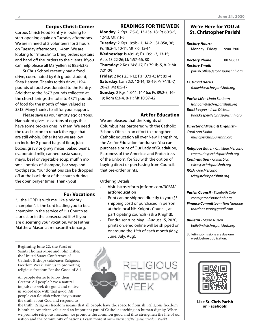## **Corpus Christi Corner**

Corpus Christi Food Pantry is looking to start opening again on Tuesday afternoons. We are in need of 2 volunteers for 3 hours on Tuesday afternoons, 1-4pm. We are looking for "muscle" to bring orders upstairs and hand off the orders to the clients. If you can help please all Maryellen at 882-6372.

St Chris School recently had a food drive, coordinated by 6th grade student, Shea Hansen. Thanks to this drive, 119.4 pounds of food was donated to the Pantry. Add that to the 367.7 pounds collected at the church brings the total to 487.1 pounds of food for the month of May, valued at \$813. Many thanks to all for your support.

Please save us your empty egg cartons. Hannaford gives us cartons of eggs that have some broken ones in them. We need the used carton to repack the eggs that are still whole. Other items we are low on include: 2 pound bags of flour, juice boxes, gravy or gravy mixes, baked beans, evaporated milk, canned pasta sauce, mayo, beef or vegetable soup, muffin mix, small bottles of shampoo, bar soap and toothpaste. Your donations can be dropped off at the back door of the church during the open prayer times. Thank you!

#### **For Vocations**

"…the LORD is with me, like a mighty champion". Is the Lord leading you to be a champion in the service of His Church as a priest or in the consecrated life? If you are discerning your vocation, write Father Matthew Mason at mmason@rcbm.org.

Beginning June 22, the Feast of Saints Thomas More and John Fisher. the United States Conference of Catholic Bishops celebrates Religious Freedom Week. Join us in promoting religious freedom For the Good of All.

All people desire to know their Creator. All people have a natural impulse to seek the good and to live in accordance with that good. All people can flourish when they pursue the truth about God and respond to

#### the truth. Religious freedom means that all people have the space to flourish. Religious freedom is both an American value and an important part of Catholic teaching on human dignity. When we promote religious freedom, we promote the common good and thus strengthen the life of our nation and the community of nations. Learn more at www.usccb.org/ReligiousFreedomWeek!

#### **READINGS FOR THE WEEK**

**Monday**: 2 Kgs 17:5-8, 13-15a, 18; Ps 60:3-5, 12-13; Mt 7:1-5

**Tuesday**: 2 Kgs 19:9b-11, 14-21, 31-35a, 36; Ps 48:2-4, 10-11; Mt 7:6, 12-14

**Wednesday**: Is 49:1-6; Ps 139:1-3, 13-15; Acts 13:22-26; Lk 1:57-66, 80

**Thursday**: 2 Kgs 24:8-17; Ps 79:1b-5, 8-9; Mt 7:21-29

**Friday**: 2 Kgs 25:1-12; Ps 137:1-6; Mt 8:1-4 **Saturday**: Lam 2:2, 10-14, 18-19; Ps 74:1b-7, 20-21; Mt 8:5-17

**Sunday**: 2 Kgs 4:8-11, 14-16a; Ps 89:2-3, 16- 19; Rom 6:3-4, 8-11; Mt 10:37-42

#### **Art for Education**

We are pleased that the Knights of Columbus has partnered with the Catholic Schools Office in an effort to strengthen Catholic education all over New Hampshire, the Art for Education fundraiser. You can purchase a print of Our Lady of Guadalupe, Patroness of the Americas and Protectress of the Unborn, for \$30 with the option of buying direct or purchasing from Councils that pre-order prints.

Ordering Details:

- Visit: https://form.jotform.com/RCBM/ artforeducation
- Print can be shipped directly to you (\$5 shipping cost) or purchased in person at their local NH Knights Council , at participating councils (ask a Knight!).
- Fundraiser runs May 1-August 15, 2020; prints ordered online will be shipped on or around the 15th of each month (May, June, July, Aug).



## **We're Here for YOU at St. Christopher Parish!**

#### *Rectory Hours:*

Monday - Friday 9:00-3:00

*Rectory Phone:* 882-0632 *Rectory Email:*

parish.*office@stchrisparishnh.org*

#### *Fr. David Harris*

*fr.david@stchrisparishnh.org*

#### *Parish Life - Linda Sanborn lsanborn@stchrisparishnh.org Bookkeeper* - *Jean Dickson bookkeeper@stchrisparishnh.org*

*Director of Music & Organist* - *Carol Ann Skabo music@stchrisparishnh.org*

### *Religious Educ.* - *Christine Mercurio cmercurio@stchrisparishnh.org Confirmation* - *Caitlin Sica csica@stchrisparishnh.org RCIA* - *Joe Mercurio rcia@stchrisparishnh.org*

*Parish Council* - *Elizabeth Cote ecote@stchrisparishnh.org Finance Committee -- Tom Nardone tnardone.work@gmail.com*

*Bulletin - Marta Nissen bulletin@stchrisparishnh.org*

Bulletin submissions are due one week before publication.



**Like St. Chris Parish on Facebook!**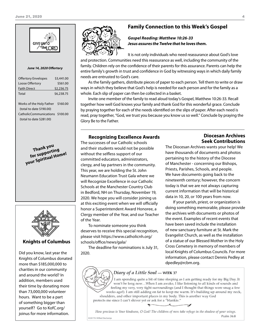

#### *June 14, 2020 Offertory*

| \$3,441.00 |
|------------|
| \$561.00   |
| \$2,236.75 |
| \$6,238.75 |
|            |

Works of the Holy Father \$160.00 (total to date \$190.00) CatholicCommunications \$100.00 (total to date \$281.00)

> **Thank you**<br>for supporting **for supporting your Spiritual Home!**



#### **Knights of Columbus**

Did you know, last year the Knights of Columbus donated more than \$185,000,000 to charities in our community and around the world? In addition, members used their time by donating more than 73,000,000 volunteer hours. Want to be a part of something bigger than yourself? Go to KofC.org/ joinus for more information.



# **Family Connection to this Week's Gospel**

#### *Gospel Reading: Matthew 10:26-33 Jesus assures the Twelve that he loves them.*

It is not only individuals who need reassurance about God's love and protection. Communities need this reassurance as well, including the community of the family. Children rely on the confidence of their parents for this assurance. Parents can help the entire family's growth in trust and confidence in God by witnessing ways in which daily family needs are entrusted to God's care.

As the family gathers, distribute pieces of paper to each person. Tell them to write or draw ways in which they believe that God's help is needed for each person and for the family as a whole. Each slip of paper can then be collected in a basket.

Invite one member of the family to read aloud today's Gospel, Matthew 10:26-33. Recall together how well God knows your family and thank God for this wonderful grace. Conclude by praying together for each of the needs identified on the slips of paper. After each need is read, pray together, "God, we trust you because you know us so well." Conclude by praying the Glory Be to the Father.

#### **Recognizing Excellence Awards**

The successes of our Catholic schools and their students would not be possible without the selfless support of our committed educators, administrators, clergy, and lay partners in the community. This year, we are holding the St. John Neumann Education Trust Gala where we will Recognize Excellence in our Catholic Schools at the Manchester Country Club in Bedford, NH on Thursday, November 19, 2020. We hope you will consider joining us at this exciting event when we will officially honor a Superintendent Award Honoree, a Clergy member of the Year, and our Teacher of the Year.

To nominate someone you think deserves to receive this special recognition, please visit https://www.catholicnh.org/ schools/office/news/gala/

The deadline for nominations is July 31, 2020.

# **Diocesan Archives Seek Contributions**

The Diocesan Archives wants your help! We have thousands of documents and photos pertaining to the history of the Diocese of Manchester - concerning our Bishops, Priests, Parishes, Schools, and people. We have documents going back to the nineteenth century; however, the concern today is that we are not always capturing current information that will be historical data in 10, 20, or 100 years from now.

If your parish, priest, or organization is doing something memorable, please provide the archives with documents or photos of the event. Examples of recent events that have been saved include the installation of new sanctuary furniture at St. Mark the Evangelist Church, as well as the installation of a statue of our Blessed Mother in the Holy Cross Cemetery in memory of members of local Knights of Columbus Councils. For more information, please contact Dennis Pedley at dpedley@rcbm.org.

#### Diary of a Little Soul - WEEK 37

I am spending quite a bit of time sleeping as I am getting ready for my Big Day. It won't be long now...When I am awake, I like listening to all kinds of sounds and feeling my very, very tight surroundings (and I thought that things were snug a few weeks ago!). I am still adding on fat to keep me warm. It's building up around my neck, shoulders, and other important places in my body. This is another way God protects me since I can't shiver yet or ask for a "blankie."

How precious is Your kindness, O God! The children of men take refuge in the shadow of your wings. Psalm 36:8 C 2017 Fr. Wilfred Deschamps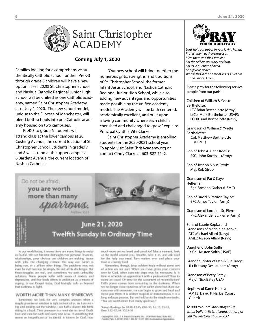

# Saint Christopher **ACADEMY**

#### **Coming July 1, 2020**

Families looking for a comprehensive authentically Catholic school for their PreK-3 through grade 8 children will have a new option in Fall 2020! St. Christopher School and Nashua Catholic Regional Junior High School will be unified as one Catholic academy, named Saint Christopher Academy, as of July 1, 2020. The new school model, unique to the Diocese of Manchester, will blend both schools into one Catholic academy housed on two campuses.

PreK-3 to grade 6 students will attend class at the lower campus at 20 Cushing Avenue, the current location of St. Christopher School. Students in grades 7 and 8 will attend at the upper campus at 6 Bartlett Avenue, the current location of Nashua Catholic.

"Our new school will bring together the numerous gifts, strengths, and traditions of St. Christopher School, the former Infant Jesus School, and Nashua Catholic Regional Junior High School, while also adding new advantages and opportunities made possible by the unified academy model. The Academy will be faith centered, academically excellent, and built upon a loving community where each child is cherished and challenged to grow," explains Principal Cynthia Vita Clarke.

Saint Christopher Academy is enrolling students for the 2020-2021 school year. To apply, visit SaintChrisAcademy.org or contact Cindy Clarke at 603-882-7442.



ferour world today, it weren these are many things to make as fearful. We can became if bines this over personal thrances, relationships, pour choices out-children are making, issueswith jobs, the changing climate. Our way our parish is being ran, or a cillum other things. The problems may not even be evil builtrate be simply life and all its challenges, but free straggles are real, and sometimes we suit, ordership solutions. Marx, people surfer with issues of stoday and dependent, and fear feath others to addiction as a means of coping, In our Gospel indue, God levingly stalk as hopored. that durbons to light.

#### WORTH MORE THAN MANY SPARROWS

Screenings we look for very complex present when a straple promise or solution is right in front of as. As Law weting, and looking out the window, two half a dozen little binhsitting in a bush, Thoic preservor is a reminder to rue of God's lows and care for each and every one of us. If something that seems so insignificant or incidental is loosen by God, how

much more are we loved and canof for! Take a nominit, look at the world around you, freathe, take it in, and ask God tor for help you rend. Tam matten over and place your trust trust losing God.

Reminder, though, learn soldon heals without some son of action on our part. When you have given your concents user to God, other concrete steps may be receivant; Is it limer to achedule on appointment with a protessional? Time to name an issue? Or time for the sacrament of reconciliation? Etil's power comes from remaining in the derivate. When we no longer close sunches off or safer alone but share our concerns with someone, we can begin to grow and heal and recent past them, it is selfdom reaginal or instantaneous. It is a long atdusos process. But use hold on to the simple reminder. "You are worth more than many quantities!"

Tokyo Residings for \$9.18-13, Ps 698-30, 14, 17, 18-35; Ront \$12-15; Mt 10:26-57

sionight of 2023, J. B. Patush Collaboro, Inc., 2020 Nove Road, Suite 405,<br>within Park, J. 82 CT (2188-1 800 KF) (1951, Will-Susanawinus Approxim



*Lord, hold our troops in your loving hands. Protect them as they protect us. Bless them and their families, For the selfless acts they perform, For us in our time of need. And give us peace. We ask this in the name of Jesus, Our Lord and Savior. Amen.*

Please pray for the following service people from our parish:

Children of William & Yvette Berthelotte:

LTC Brian Berthelotte (Army); LtCol Mark Berthelotte (USAF); LCDR Brad Berthelotte (Navy)

Grandson of William & Yvette Berthelotte: Cpl. Matthew Berthelotte

(USMC)

Son of John & Alana Kocsis: SSG. John Kocsis III (Army)

Son of Joseph & Sue Strob: Maj. Rob Strob

Grandson of Pat & Kaye Heffernan: Sgt. Eamonn Garber (USMC)

Son of David & Patricia Taylor: SFC James Taylor (Army)

Grandson of Lorraine St. Pierre PFC Alexander St. Pierre (Army)

Sons of Laurie Kopka and Grandsons of Madeleine Kopka: AT2 Michael Allard (Navy) AME2 Joseph Allard (Navy)

Daugher of John Soltis: Lt.Col. Kristen Soltis (USAF)

Granddaughter of Dan & Sue Tracy: 1Lt Brittany DesLauriers (Army)

Grandson of Betty Batey: Major Nick Batey USAF

Nephew of Karen Narkis: AMT3 David P. Narkis (Coast Guard)

*To add to our military prayer list, email bulletin@stchrisparishnh.org or call the Rectory at 882-0632.*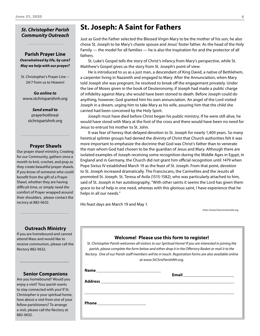# *St. Christopher Parish Community Outreach*

#### **Parish Prayer Line** *Overwhelmed by life, by care? May we help with our prayer?*

St. Christopher's Prayer Line -- 24/7 from us to Heaven!

*Go online to* www.stchrisparishnh.org

> *Send email to* prayerhotline@ stchrisparishnh.org

#### **Prayer Shawls**

Our prayer shawl ministry, Creating for our Community, gathers once a month to knit, crochet, and pray as they create beautiful prayer shawls. If you know of someone who could benefit from the gift of a Prayer Shawl, whether they are having difficult time, or simply need the comfort of Prayer wrapped around their shoulders, please contact the rectory at 882-0632.

# **St. Joseph: A Saint for Fathers**

Just as God the Father selected the Blessed Virgin Mary to be the mother of his son, he also chose St. Joseph to be Mary's chaste spouse and Jesus' foster father. As the head of the Holy Family — the model for all families — he is also the inspiration for and the protector of all fathers.

St. Luke's Gospel tells the story of Christ's infancy from Mary's perspective, while St. Matthew's Gospel gives us the story from St. Joseph's point of view.

He is introduced to us as a just man, a descendant of King David, a native of Bethlehem, a carpenter living in Nazareth and engaged to Mary. After the Annunciation, when Mary told Joseph she was pregnant, he resolved to break off the engagement privately. Under the law of Moses given in the book of Deuteronomy, if Joseph had made a public charge of infidelity against Mary, she would have been stoned to death. Before Joseph could do anything, however, God granted him his own annunciation. An angel of the Lord visited Joseph in a dream, urging him to take Mary as his wife, assuring him that the child she carried had been conceived by the Holy Spirit.

Joseph must have died before Christ began his public ministry. If he were still alive, he would have stood with Mary at the foot of the cross and there would have been no need for Jesus to entrust his mother to St. John.

It was fear of heresy that delayed devotion to St. Joseph for nearly 1,400 years. So many heretical splinter groups had denied the divinity of Christ that Church authorities felt it was more important to emphasize the doctrine that God was Christ's father than to venerate the man whom God had chosen to be the guardian of Jesus and Mary. Although there are isolated examples of Joseph receiving some recognition during the Middle Ages in Egypt, in England and in Germany, the Church did not grant him official recognition until 1479 when Pope Sixtus IV established March 19 as the feast of St. Joseph. From that point, devotion to St. Joseph increased dramatically. The Franciscans, the Carmelites and the Jesuits all promoted St. Joseph. St. Teresa of Avila (1515-1582), who was particularly attached to him, said of St. Joseph in her autobiography, "With other saints it seems the Lord has given them grace to be of help in one need, whereas with this glorious saint, I have experience that he helps in all our needs."

His feast days are March 19 and May 1.

*https://www.franciscanmedia.org*

#### **Outreach Ministry**

ı

If you are homebound and cannot attend Mass and would like to receive communion, please call the Rectory 882-0632.

#### **Senior Companions**

Are you homebound? Would you enjoy a visit? Your parish wants to stay connected with you! If St. Christopher is your spiritual home, how about a visit from one of your fellow parishioners? To arrange a visit, please call the Rectory at 882-0632.

| Name<br>________________________________ | Email ________________________ |
|------------------------------------------|--------------------------------|
| Phone _______________________            |                                |

**Welcome! Please use this form to register!** *St. Christopher Parish welcomes all visitors to our Spiritual Home! If you are interested in joining the parish, please complete the form below and either drop it in the Offertory Basket or mail it to the Rectory. One of our Parish staff members will be in touch. Registration forms are also available online at www.StChrisParishNH.org.*